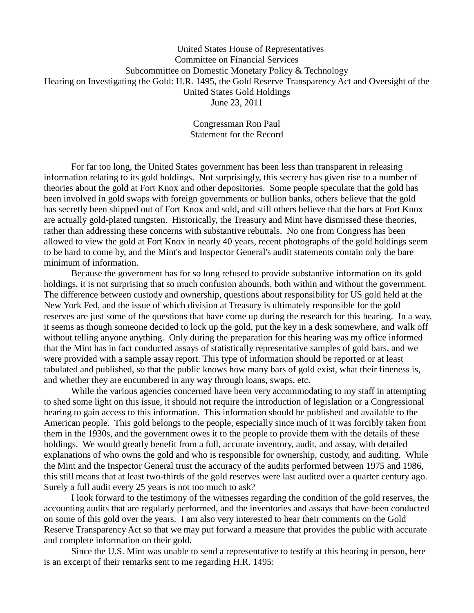United States House of Representatives Committee on Financial Services Subcommittee on Domestic Monetary Policy & Technology Hearing on Investigating the Gold: H.R. 1495, the Gold Reserve Transparency Act and Oversight of the United States Gold Holdings June 23, 2011

> Congressman Ron Paul Statement for the Record

For far too long, the United States government has been less than transparent in releasing information relating to its gold holdings. Not surprisingly, this secrecy has given rise to a number of theories about the gold at Fort Knox and other depositories. Some people speculate that the gold has been involved in gold swaps with foreign governments or bullion banks, others believe that the gold has secretly been shipped out of Fort Knox and sold, and still others believe that the bars at Fort Knox are actually gold-plated tungsten. Historically, the Treasury and Mint have dismissed these theories, rather than addressing these concerns with substantive rebuttals. No one from Congress has been allowed to view the gold at Fort Knox in nearly 40 years, recent photographs of the gold holdings seem to be hard to come by, and the Mint's and Inspector General's audit statements contain only the bare minimum of information.

Because the government has for so long refused to provide substantive information on its gold holdings, it is not surprising that so much confusion abounds, both within and without the government. The difference between custody and ownership, questions about responsibility for US gold held at the New York Fed, and the issue of which division at Treasury is ultimately responsible for the gold reserves are just some of the questions that have come up during the research for this hearing. In a way, it seems as though someone decided to lock up the gold, put the key in a desk somewhere, and walk off without telling anyone anything. Only during the preparation for this hearing was my office informed that the Mint has in fact conducted assays of statistically representative samples of gold bars, and we were provided with a sample assay report. This type of information should be reported or at least tabulated and published, so that the public knows how many bars of gold exist, what their fineness is, and whether they are encumbered in any way through loans, swaps, etc.

While the various agencies concerned have been very accommodating to my staff in attempting to shed some light on this issue, it should not require the introduction of legislation or a Congressional hearing to gain access to this information. This information should be published and available to the American people. This gold belongs to the people, especially since much of it was forcibly taken from them in the 1930s, and the government owes it to the people to provide them with the details of these holdings. We would greatly benefit from a full, accurate inventory, audit, and assay, with detailed explanations of who owns the gold and who is responsible for ownership, custody, and auditing. While the Mint and the Inspector General trust the accuracy of the audits performed between 1975 and 1986, this still means that at least two-thirds of the gold reserves were last audited over a quarter century ago. Surely a full audit every 25 years is not too much to ask?

I look forward to the testimony of the witnesses regarding the condition of the gold reserves, the accounting audits that are regularly performed, and the inventories and assays that have been conducted on some of this gold over the years. I am also very interested to hear their comments on the Gold Reserve Transparency Act so that we may put forward a measure that provides the public with accurate and complete information on their gold.

Since the U.S. Mint was unable to send a representative to testify at this hearing in person, here is an excerpt of their remarks sent to me regarding H.R. 1495: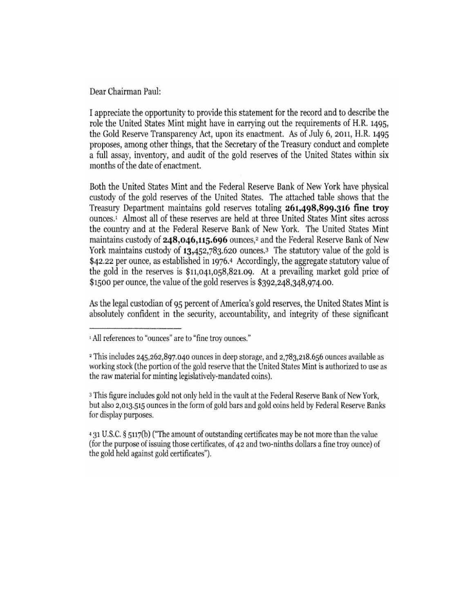Dear Chairman Paul:

I appreciate the opportunity to provide this statement for the record and to describe the role the United States Mint might have in carrying out the requirements of H.R. 1495, the Gold Reserve Transparency Act, upon its enactment. As of July 6, 2011, H.R. 1495 proposes, among other things, that the Secretary of the Treasury conduct and complete a full assay, inventory, and audit of the gold reserves of the United States within six months of the date of enactment.

Both the United States Mint and the Federal Reserve Bank of New York have physical custody of the gold reserves of the United States. The attached table shows that the Treasury Department maintains gold reserves totaling 261,498,899.316 fine troy ounces.<sup>1</sup> Almost all of these reserves are held at three United States Mint sites across the country and at the Federal Reserve Bank of New York. The United States Mint maintains custody of 248,046,115.696 ounces,<sup>2</sup> and the Federal Reserve Bank of New York maintains custody of 13,452,783.620 ounces.<sup>3</sup> The statutory value of the gold is \$42.22 per ounce, as established in 1976.4 Accordingly, the aggregate statutory value of the gold in the reserves is  $$11,041,058,821.09$ . At a prevailing market gold price of \$1500 per ounce, the value of the gold reserves is \$392,248,348,974.00.

As the legal custodian of 95 percent of America's gold reserves, the United States Mint is absolutely confident in the security, accountability, and integrity of these significant

<sup>3</sup> This figure includes gold not only held in the vault at the Federal Reserve Bank of New York, but also 2,013.515 ounces in the form of gold bars and gold coins held by Federal Reserve Banks for display purposes.

4 31 U.S.C. § 5117(b) ("The amount of outstanding certificates may be not more than the value (for the purpose of issuing those certificates, of 42 and two-ninths dollars a fine troy ounce) of the gold held against gold certificates").

<sup>&</sup>lt;sup>1</sup> All references to "ounces" are to "fine troy ounces."

<sup>&</sup>lt;sup>2</sup> This includes 245,262,897.040 ounces in deep storage, and 2,783,218.656 ounces available as working stock (the portion of the gold reserve that the United States Mint is authorized to use as the raw material for minting legislatively-mandated coins).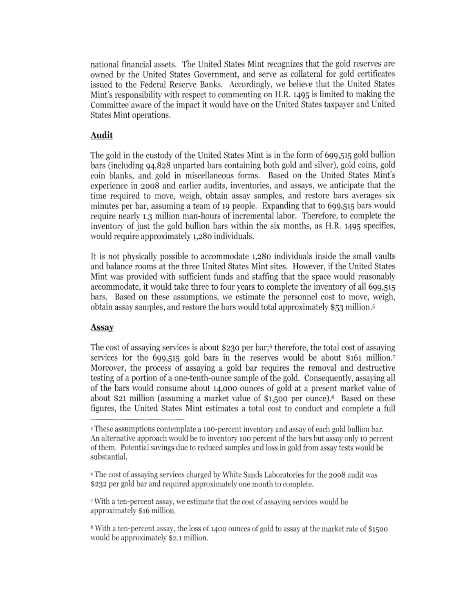national financial assets. The United States Mint recognizes that the gold reserves are owned by the United States Government, and serve as collateral for gold certificates issued to the Federal Reserve Banks. Accordingly, we believe that the United States Mint's responsibility with respect to commenting on H.R. 1495 is limited to making the Committee aware of the impact it would have on the United States taxpayer and United States Mint operations.

## Audit

The gold in the custody of the United States Mint is in the form of 699,515 gold bullion bars (including 94,828 unparted bars containing both gold and silver), gold coins, gold coin blanks, and gold in miscellaneous forms. Based on the United States Mint's experience in 2008 and earlier audits, inventories, and assays, we anticipate that the time required to move, weigh, obtain assay samples, and restore bars averages six minutes per bar, assuming a team of 19 people. Expanding that to 699,515 bars would require nearly 1.3 million man-hours of incremental labor. Therefore, to complete the inventory of just the gold bullion bars within the six months, as H.R. 1495 specifies, would require approximately 1,280 individuals.

It is not physically possible to accommodate 1,280 individuals inside the small vaults and balance rooms at the three United States Mint sites. However, if the United States Mint was provided with sufficient funds and staffing that the space would reasonably accommodate, it would take three to four years to complete the inventory of all 699,515 bars. Based on these assumptions, we estimate the personnel cost to move, weigh, obtain assay samples, and restore the bars would total approximately \$53 million.<sup>5</sup>

## **Assay**

The cost of assaying services is about \$230 per bar;<sup>6</sup> therefore, the total cost of assaying services for the 699,515 gold bars in the reserves would be about \$161 million.7 Moreover, the process of assaying a gold bar requires the removal and destructive testing of a portion of a one-tenth-ounce sample of the gold. Consequently, assaying all of the bars would consume about 14,000 ounces of gold at a present market value of about \$21 million (assuming a market value of \$1,500 per ounce).<sup>8</sup> Based on these figures, the United States Mint estimates a total cost to conduct and complete a full

<sup>7</sup> With a ten-percent assay, we estimate that the cost of assaying services would be approximately \$16 million.

<sup>&</sup>lt;sup>5</sup> These assumptions contemplate a 100-percent inventory and assay of each gold bullion bar. An alternative approach would be to inventory 100 percent of the bars but assay only 10 percent of them. Potential savings due to reduced samples and loss in gold from assay tests would be substantial.

<sup>&</sup>lt;sup>6</sup> The cost of assaying services charged by White Sands Laboratories for the 2008 audit was \$232 per gold bar and required approximately one month to complete.

<sup>&</sup>lt;sup>8</sup> With a ten-percent assay, the loss of 1400 ounces of gold to assay at the market rate of \$1500 would be approximately \$2.1 million.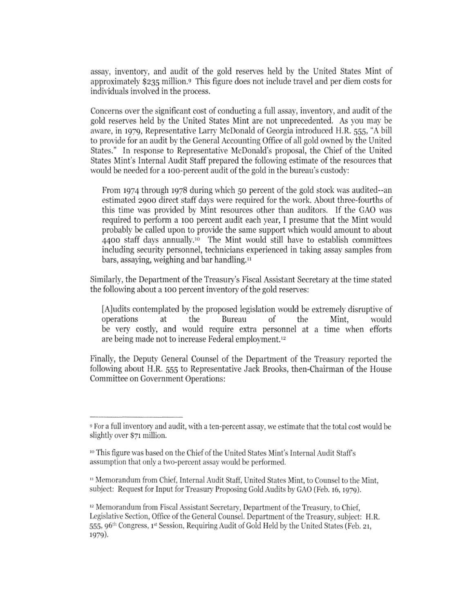assay, inventory, and audit of the gold reserves held by the United States Mint of approximately \$235 million.<sup>9</sup> This figure does not include travel and per diem costs for individuals involved in the process.

Concerns over the significant cost of conducting a full assay, inventory, and audit of the gold reserves held by the United States Mint are not unprecedented. As you may be aware, in 1979, Representative Larry McDonald of Georgia introduced H.R. 555, "A bill to provide for an audit by the General Accounting Office of all gold owned by the United States." In response to Representative McDonald's proposal, the Chief of the United States Mint's Internal Audit Staff prepared the following estimate of the resources that would be needed for a 100-percent audit of the gold in the bureau's custody:

From 1974 through 1978 during which 50 percent of the gold stock was audited--an estimated 2900 direct staff days were required for the work. About three-fourths of this time was provided by Mint resources other than auditors. If the GAO was required to perform a 100 percent audit each year, I presume that the Mint would probably be called upon to provide the same support which would amount to about 4400 staff days annually.<sup>10</sup> The Mint would still have to establish committees including security personnel, technicians experienced in taking assay samples from bars, assaying, weighing and bar handling.<sup>11</sup>

Similarly, the Department of the Treasury's Fiscal Assistant Secretary at the time stated the following about a 100 percent inventory of the gold reserves:

[A]udits contemplated by the proposed legislation would be extremely disruptive of Bureau operations at the of the Mint. would be very costly, and would require extra personnel at a time when efforts are being made not to increase Federal employment.<sup>12</sup>

Finally, the Deputy General Counsel of the Department of the Treasury reported the following about H.R. 555 to Representative Jack Brooks, then-Chairman of the House Committee on Government Operations:

<sup>&</sup>lt;sup>9</sup> For a full inventory and audit, with a ten-percent assay, we estimate that the total cost would be slightly over \$71 million.

<sup>&</sup>lt;sup>10</sup> This figure was based on the Chief of the United States Mint's Internal Audit Staff's assumption that only a two-percent assay would be performed.

<sup>&</sup>lt;sup>11</sup> Memorandum from Chief, Internal Audit Staff, United States Mint, to Counsel to the Mint, subject: Request for Input for Treasury Proposing Gold Audits by GAO (Feb. 16, 1979).

<sup>&</sup>lt;sup>12</sup> Memorandum from Fiscal Assistant Secretary, Department of the Treasury, to Chief, Legislative Section, Office of the General Counsel. Department of the Treasury, subject: H.R. 555, 96<sup>th</sup> Congress, 1<sup>st</sup> Session, Requiring Audit of Gold Held by the United States (Feb. 21, 1979).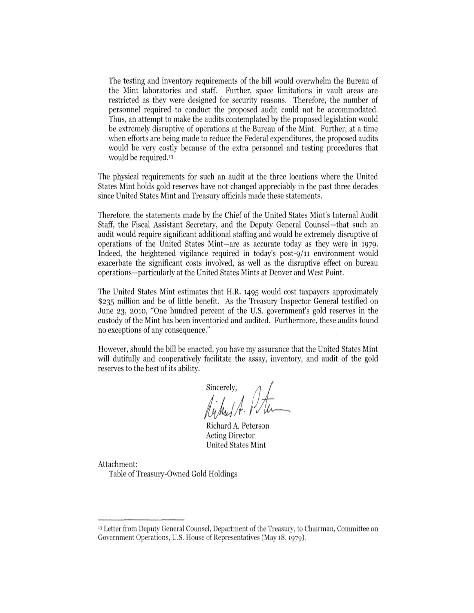The testing and inventory requirements of the bill would overwhelm the Bureau of the Mint laboratories and staff. Further, space limitations in vault areas are restricted as they were designed for security reasons. Therefore, the number of personnel required to conduct the proposed audit could not be accommodated. Thus, an attempt to make the audits contemplated by the proposed legislation would be extremely disruptive of operations at the Bureau of the Mint. Further, at a time when efforts are being made to reduce the Federal expenditures, the proposed audits would be very costly because of the extra personnel and testing procedures that would be required.<sup>13</sup>

The physical requirements for such an audit at the three locations where the United States Mint holds gold reserves have not changed appreciably in the past three decades since United States Mint and Treasury officials made these statements.

Therefore, the statements made by the Chief of the United States Mint's Internal Audit Staff, the Fiscal Assistant Secretary, and the Deputy General Counsel—that such an audit would require significant additional staffing and would be extremely disruptive of operations of the United States Mint—are as accurate today as they were in 1979. Indeed, the heightened vigilance required in today's post-9/11 environment would exacerbate the significant costs involved, as well as the disruptive effect on bureau operations-particularly at the United States Mints at Denver and West Point.

The United States Mint estimates that H.R. 1495 would cost taxpayers approximately \$235 million and be of little benefit. As the Treasury Inspector General testified on June 23, 2010, "One hundred percent of the U.S. government's gold reserves in the custody of the Mint has been inventoried and audited. Furthermore, these audits found no exceptions of any consequence."

However, should the bill be enacted, you have my assurance that the United States Mint will dutifully and cooperatively facilitate the assay, inventory, and audit of the gold reserves to the best of its ability.

sincerely,<br>Author A. Plu

Richard A. Peterson **Acting Director United States Mint** 

Attachment:

Table of Treasury-Owned Gold Holdings

<sup>&</sup>lt;sup>13</sup> Letter from Deputy General Counsel, Department of the Treasury, to Chairman, Committee on Government Operations, U.S. House of Representatives (May 18, 1979).